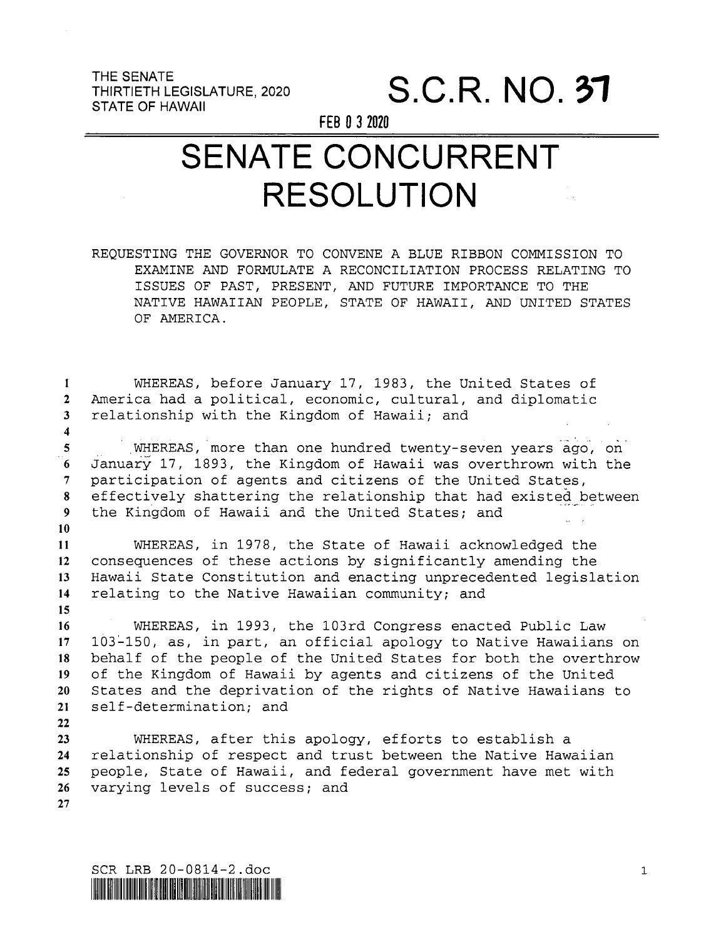THE SENATE<br>THIRTIETH LEGISLATURE, 2020 STATE 0F HAWAII

 $\overline{\bf{4}}$ 

 $22$ 

S.C.R. NO. 37

FEB 0 3 2020

## SENATE CONCURRENT RESOLUTION

REQUESTING THE GOVERNOR TO CONVENE A BLUE RIBBON COMMISSION TO EXAMINE AND FORMULATE A RECONCILIATION PROCESS RELATING TO ISSUES OF PAST, PRESENT, AND FUTURE IMPORTANCE TO THE NATIVE HAWAIIAN PEOPLE, STATE OF HAWAII, AND UNITED STATES OF AMERICA.

 $\mathbf{1}$ WHEREAS, before January l7, 1983, the United States of America had a political, economic, cultural, and diplomatic  $2<sup>1</sup>$  $3<sup>1</sup>$ relationship with the Kingdom of Hawaii; and

WHEREAS, more than one hundred twenty-seven years ago, on 5 January 17, 1893, the Kingdom of Hawaii was overthrown with the  $\bf{6}$  $\overline{7}$ participation of agents and citizens of the United States, .<br>effectively shattering the relationship that had existed between 8 the Kingdom of Hawaii and the United States; and  $\mathbf{Q}$  $10<sup>°</sup>$ 

WHEREAS, in 1978, the State of Hawaii acknowledged the 11 consequences of these actions by significantly amending the  $12<sup>7</sup>$ Hawaii State Constitution and enacting unprecedented legislation  $13$  $14$ relating to the Native Hawaiian community; and 15

WHEREAS, in 1993, the lO3rd Congress enacted Public Law  $16$  $17$ 103-150, as, in part, an official apology to Native Hawaiians on 18 behalf of the people of the United States for both the overthrow of the Kingdom of Hawaii by agents and citizens of the United 1 C 20 States and the deprivation of the rights of Native Hawaiians to self—determination; and  $21$ 

WHEREAS, after this apology, efforts to establish <sup>a</sup>  $23<sub>1</sub>$  $24$ relationship of respect and trust between the Native Hawaiian people, State of Hawaii, and federal government have met with  $25$ varying levels of success; and 26  $27$ 

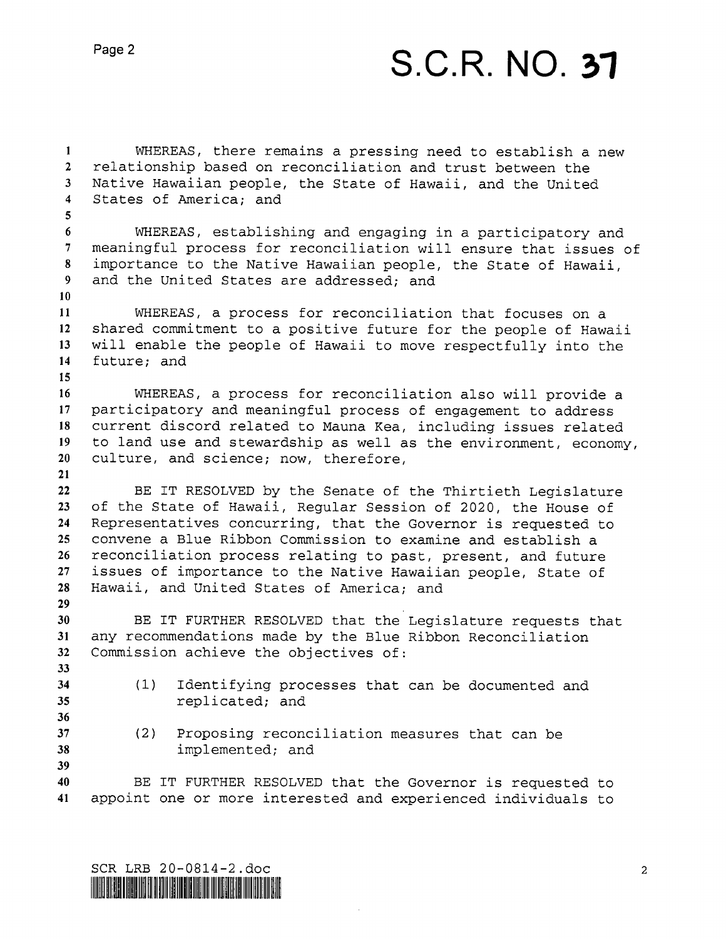## S.C.R. NO. 31

 $\mathbf{1}$ WHEREAS, there remains a pressing need to establish a new  $2<sup>1</sup>$ relationship based on reconciliation and trust between the  $3<sup>7</sup>$ Native Hawaiian people, the State of Hawaii, and the United  $\overline{4}$ States of America; and  $5<sup>1</sup>$ WHEREAS, establishing and engaging in a participatory and 6 meaningful process for reconciliation will ensure that issues of  $7<sup>7</sup>$ importance to the Native Hawaiian people, the State of Hawaii, 8  $9<sup>7</sup>$ and the United States are addressed; and  $10<sup>°</sup>$  $11$ WHEREAS, a process for reconciliation that focuses on <sup>a</sup> shared commitment to a positive future for the people of Hawaii will enable the people of Hawaii to move respectfully into the  $12<sup>7</sup>$  $13<sup>7</sup>$  $14$ future; and 15 16 WHEREAS, a process for reconciliation also will provide <sup>a</sup> participatory and meaningful process of engagement to address  $17<sup>7</sup>$ 18 current discord related to Mauna Kea, including issues related 19 to land use and stewardship as well as the environment, economy,  $20<sub>2</sub>$ culture, and science; now, therefore,  $21$  $22$ BE IT RESOLVED by the Senate of the Thirtieth Legislature of the State of Hawaii, Regular Session of 2020, the House of 23  $24$ Representatives concurring, that the Governor is requested to convene a Blue Ribbon Commission to examine and establish <sup>a</sup>  $25<sub>1</sub>$  $26$ reconciliation process relating to past, present, and future  $27$ issues of importance to the Native Hawaiian people, State of 28 Hawaii, and United States of America; and 29 30 BE IT FURTHER RESOLVED that the Legislature requests that any recommendations made by the Blue Ribbon Reconciliation  $31$  $32<sup>2</sup>$ Commission achieve the objectives of: 33 34 (l) Identifying processes that can be documented and replicated; and 35 36 37 (2) Proposing reconciliation measures that can be 38 implemented; and 39 40 BE IT FURTHER RESOLVED that the Governor is requested to 41 appoint one or more interested and experienced individuals to